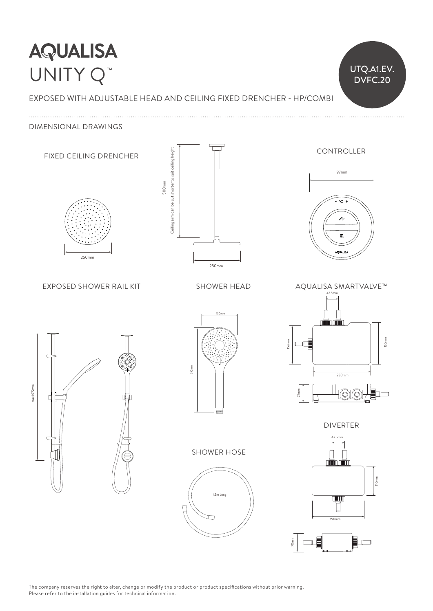# **AQUALISA** Ceiling arm can be cut shorter to suit ceiling height are to suit ceiling height are to suit ceiling height are to suit ceiling height are to suit ceiling height are to suit ceiling height are to suit ceiling height are to UNITY Q™

EXPOSED WITH ADJUSTABLE HEAD AND CEILING FIXED DRENCHER - HP/COMBI 80mm

UTQ.A1.EV. DVFC.20

25mm 98mm

DIMENSIONAL DRAWINGS



The company reserves the right to alter, change or modify the product or product specifications without prior warning.<br>Pulled the company of the company of the company of the company of the company of the company of the co Please refer to the installation guides for technical information.